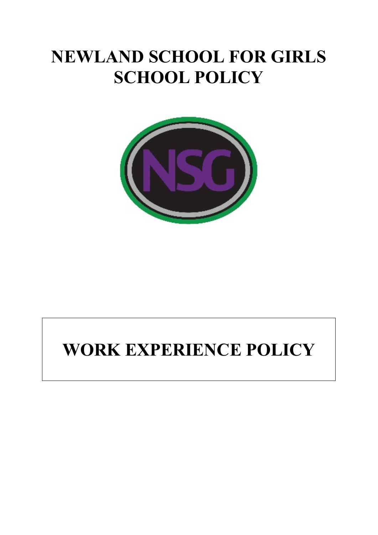# **NEWLAND SCHOOL FOR GIRLS SCHOOL POLICY**



# **WORK EXPERIENCE POLICY**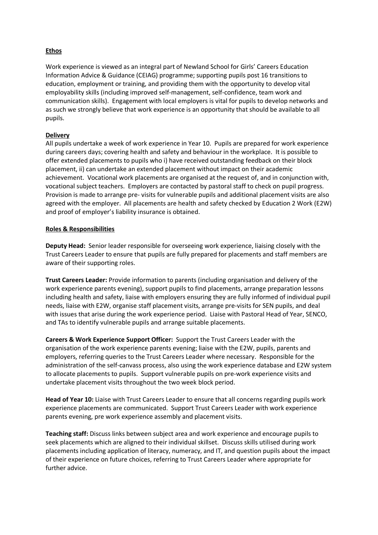## **Ethos**

Work experience is viewed as an integral part of Newland School for Girls' Careers Education Information Advice & Guidance (CEIAG) programme; supporting pupils post 16 transitions to education, employment or training, and providing them with the opportunity to develop vital employability skills (including improved self-management, self-confidence, team work and communication skills). Engagement with local employers is vital for pupils to develop networks and as such we strongly believe that work experience is an opportunity that should be available to all pupils.

### **Delivery**

All pupils undertake a week of work experience in Year 10. Pupils are prepared for work experience during careers days; covering health and safety and behaviour in the workplace. It is possible to offer extended placements to pupils who i) have received outstanding feedback on their block placement, ii) can undertake an extended placement without impact on their academic achievement. Vocational work placements are organised at the request of, and in conjunction with, vocational subject teachers. Employers are contacted by pastoral staff to check on pupil progress. Provision is made to arrange pre- visits for vulnerable pupils and additional placement visits are also agreed with the employer. All placements are health and safety checked by Education 2 Work (E2W) and proof of employer's liability insurance is obtained.

### **Roles & Responsibilities**

**Deputy Head:** Senior leader responsible for overseeing work experience, liaising closely with the Trust Careers Leader to ensure that pupils are fully prepared for placements and staff members are aware of their supporting roles.

**Trust Careers Leader:** Provide information to parents (including organisation and delivery of the work experience parents evening), support pupils to find placements, arrange preparation lessons including health and safety, liaise with employers ensuring they are fully informed of individual pupil needs, liaise with E2W, organise staff placement visits, arrange pre-visits for SEN pupils, and deal with issues that arise during the work experience period. Liaise with Pastoral Head of Year, SENCO, and TAs to identify vulnerable pupils and arrange suitable placements.

**Careers & Work Experience Support Officer:** Support the Trust Careers Leader with the organisation of the work experience parents evening; liaise with the E2W, pupils, parents and employers, referring queries to the Trust Careers Leader where necessary. Responsible for the administration of the self-canvass process, also using the work experience database and E2W system to allocate placements to pupils. Support vulnerable pupils on pre-work experience visits and undertake placement visits throughout the two week block period.

**Head of Year 10:** Liaise with Trust Careers Leader to ensure that all concerns regarding pupils work experience placements are communicated. Support Trust Careers Leader with work experience parents evening, pre work experience assembly and placement visits.

**Teaching staff:** Discuss links between subject area and work experience and encourage pupils to seek placements which are aligned to their individual skillset. Discuss skills utilised during work placements including application of literacy, numeracy, and IT, and question pupils about the impact of their experience on future choices, referring to Trust Careers Leader where appropriate for further advice.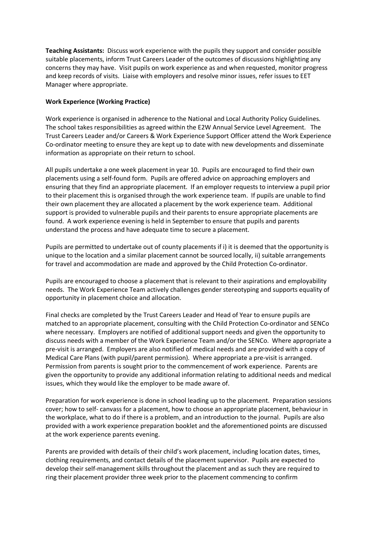**Teaching Assistants:** Discuss work experience with the pupils they support and consider possible suitable placements, inform Trust Careers Leader of the outcomes of discussions highlighting any concerns they may have. Visit pupils on work experience as and when requested, monitor progress and keep records of visits. Liaise with employers and resolve minor issues, refer issues to EET Manager where appropriate.

### **Work Experience (Working Practice)**

Work experience is organised in adherence to the National and Local Authority Policy Guidelines. The school takes responsibilities as agreed within the E2W Annual Service Level Agreement. The Trust Careers Leader and/or Careers & Work Experience Support Officer attend the Work Experience Co-ordinator meeting to ensure they are kept up to date with new developments and disseminate information as appropriate on their return to school.

All pupils undertake a one week placement in year 10. Pupils are encouraged to find their own placements using a self-found form. Pupils are offered advice on approaching employers and ensuring that they find an appropriate placement. If an employer requests to interview a pupil prior to their placement this is organised through the work experience team. If pupils are unable to find their own placement they are allocated a placement by the work experience team. Additional support is provided to vulnerable pupils and their parents to ensure appropriate placements are found. A work experience evening is held in September to ensure that pupils and parents understand the process and have adequate time to secure a placement.

Pupils are permitted to undertake out of county placements if i) it is deemed that the opportunity is unique to the location and a similar placement cannot be sourced locally, ii) suitable arrangements for travel and accommodation are made and approved by the Child Protection Co-ordinator.

Pupils are encouraged to choose a placement that is relevant to their aspirations and employability needs. The Work Experience Team actively challenges gender stereotyping and supports equality of opportunity in placement choice and allocation.

Final checks are completed by the Trust Careers Leader and Head of Year to ensure pupils are matched to an appropriate placement, consulting with the Child Protection Co-ordinator and SENCo where necessary. Employers are notified of additional support needs and given the opportunity to discuss needs with a member of the Work Experience Team and/or the SENCo. Where appropriate a pre-visit is arranged. Employers are also notified of medical needs and are provided with a copy of Medical Care Plans (with pupil/parent permission). Where appropriate a pre-visit is arranged. Permission from parents is sought prior to the commencement of work experience. Parents are given the opportunity to provide any additional information relating to additional needs and medical issues, which they would like the employer to be made aware of.

Preparation for work experience is done in school leading up to the placement. Preparation sessions cover; how to self- canvass for a placement, how to choose an appropriate placement, behaviour in the workplace, what to do if there is a problem, and an introduction to the journal. Pupils are also provided with a work experience preparation booklet and the aforementioned points are discussed at the work experience parents evening.

Parents are provided with details of their child's work placement, including location dates, times, clothing requirements, and contact details of the placement supervisor. Pupils are expected to develop their self-management skills throughout the placement and as such they are required to ring their placement provider three week prior to the placement commencing to confirm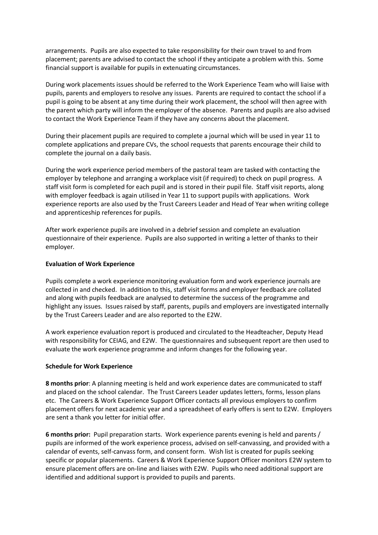arrangements. Pupils are also expected to take responsibility for their own travel to and from placement; parents are advised to contact the school if they anticipate a problem with this. Some financial support is available for pupils in extenuating circumstances.

During work placements issues should be referred to the Work Experience Team who will liaise with pupils, parents and employers to resolve any issues. Parents are required to contact the school if a pupil is going to be absent at any time during their work placement, the school will then agree with the parent which party will inform the employer of the absence. Parents and pupils are also advised to contact the Work Experience Team if they have any concerns about the placement.

During their placement pupils are required to complete a journal which will be used in year 11 to complete applications and prepare CVs, the school requests that parents encourage their child to complete the journal on a daily basis.

During the work experience period members of the pastoral team are tasked with contacting the employer by telephone and arranging a workplace visit (if required) to check on pupil progress. A staff visit form is completed for each pupil and is stored in their pupil file. Staff visit reports, along with employer feedback is again utilised in Year 11 to support pupils with applications. Work experience reports are also used by the Trust Careers Leader and Head of Year when writing college and apprenticeship references for pupils.

After work experience pupils are involved in a debrief session and complete an evaluation questionnaire of their experience. Pupils are also supported in writing a letter of thanks to their employer.

#### **Evaluation of Work Experience**

Pupils complete a work experience monitoring evaluation form and work experience journals are collected in and checked. In addition to this, staff visit forms and employer feedback are collated and along with pupils feedback are analysed to determine the success of the programme and highlight any issues. Issues raised by staff, parents, pupils and employers are investigated internally by the Trust Careers Leader and are also reported to the E2W.

A work experience evaluation report is produced and circulated to the Headteacher, Deputy Head with responsibility for CEIAG, and E2W. The questionnaires and subsequent report are then used to evaluate the work experience programme and inform changes for the following year.

#### **Schedule for Work Experience**

**8 months prior**: A planning meeting is held and work experience dates are communicated to staff and placed on the school calendar. The Trust Careers Leader updates letters, forms, lesson plans etc. The Careers & Work Experience Support Officer contacts all previous employers to confirm placement offers for next academic year and a spreadsheet of early offers is sent to E2W. Employers are sent a thank you letter for initial offer.

**6 months prior:** Pupil preparation starts. Work experience parents evening is held and parents / pupils are informed of the work experience process, advised on self-canvassing, and provided with a calendar of events, self-canvass form, and consent form. Wish list is created for pupils seeking specific or popular placements. Careers & Work Experience Support Officer monitors E2W system to ensure placement offers are on-line and liaises with E2W. Pupils who need additional support are identified and additional support is provided to pupils and parents.